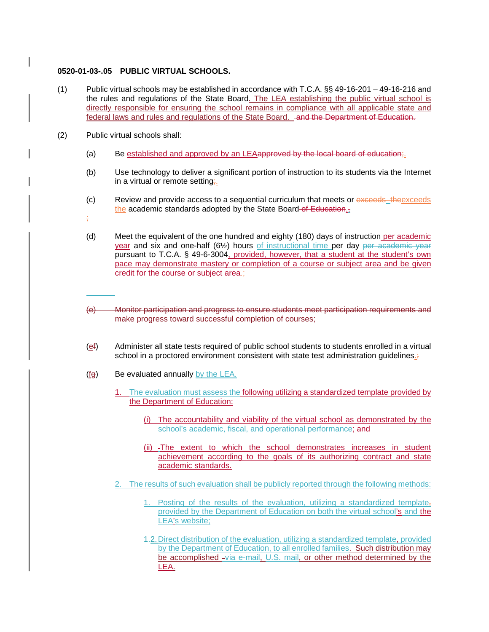## **0520-01-03-.05 PUBLIC VIRTUAL SCHOOLS.**

- (1) Public virtual schools may be established in accordance with T.C.A. §§ 49-16-201 49-16-216 and the rules and regulations of the State Board. The LEA establishing the public virtual school is directly responsible for ensuring the school remains in compliance with all applicable state and federal laws and rules and regulations of the State Board. and the Department of Education.
- (2) Public virtual schools shall:
	- (a) Be established and approved by an LEAapproved by the local board of education;
	- (b) Use technology to deliver a significant portion of instruction to its students via the Internet in a virtual or remote setting;.
	- (c) Review and provide access to a sequential curriculum that meets or exceeds theexceeds the academic standards adopted by the State Board of Education.
	- ;
	- (d) Meet the equivalent of the one hundred and eighty (180) days of instruction per academic year and six and one-half (6½) hours of instructional time per day per academic year pursuant to T.C.A. § 49-6-3004, provided, however, that a student at the student's own pace may demonstrate mastery or completion of a course or subject area and be given credit for the course or subject area.;
	- (e) Monitor participation and progress to ensure students meet participation requirements and make progress toward successful completion of courses;
	- $(e<sub>i</sub>)$  Administer all state tests required of public school students to students enrolled in a virtual school in a proctored environment consistent with state test administration guidelines.;
	- (fg) Be evaluated annually by the LEA.
		- 1. The evaluation must assess the following utilizing a standardized template provided by the Department of Education:
			- (i) The accountability and viability of the virtual school as demonstrated by the school's academic, fiscal, and operational performance; and
			- (ii) -The extent to which the school demonstrates increases in student achievement according to the goals of its authorizing contract and state academic standards.
		- 2. The results of such evaluation shall be publicly reported through the following methods:
			- 1. Posting of the results of the evaluation, utilizing a standardized template, provided by the Department of Education on both the virtual school's and the LEA's website;
			- 1.2.Direct distribution of the evaluation, utilizing a standardized template, provided by the Department of Education, to all enrolled families. Such distribution may be accomplished -via e-mail, U.S. mail, or other method determined by the LEA.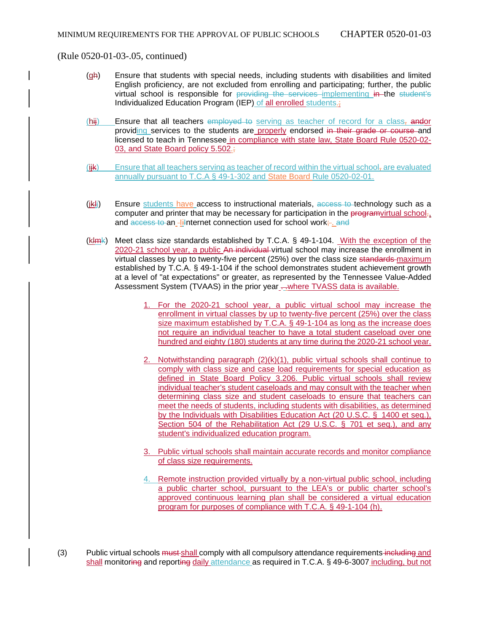(Rule 0520-01-03-.05, continued)

- (gh) Ensure that students with special needs, including students with disabilities and limited English proficiency, are not excluded from enrolling and participating; further, the public virtual school is responsible for providing the services implementing in the student's Individualized Education Program (IEP) of all enrolled students.;
- $(hii)$  Ensure that all teachers employed to serving as teacher of record for a class, and or providing services to the students are properly endorsed in their grade or course and licensed to teach in Tennessee in compliance with state law, State Board Rule 0520-02- 03, and State Board policy 5.502.;
- $(i\mathbf{H})$  Ensure that all teachers serving as teacher of record within the virtual school, are evaluated annually pursuant to T.C.A § 49-1-302 and State Board Rule 0520-02-01.
- $(iH)$  Ensure students have access to instructional materials,  $\frac{1}{100}$  access to technology such as a computer and printer that may be necessary for participation in the programvirtual school, and access to an -li-nternet connection used for school work; and
- $(kHm/k)$  Meet class size standards established by T.C.A. § 49-1-104. With the exception of the 2020-21 school year, a public An individual virtual school may increase the enrollment in virtual classes by up to twenty-five percent (25%) over the class size standards maximum established by T.C.A. § 49-1-104 if the school demonstrates student achievement growth at a level of "at expectations" or greater, as represented by the Tennessee Value-Added Assessment System (TVAAS) in the prior year -- where TVASS data is available.
	- 1. For the 2020-21 school year, a public virtual school may increase the enrollment in virtual classes by up to twenty-five percent (25%) over the class size maximum established by T.C.A. § 49-1-104 as long as the increase does not require an individual teacher to have a total student caseload over one hundred and eighty (180) students at any time during the 2020-21 school year.
	- 2. Notwithstanding paragraph  $(2)(k)(1)$ , public virtual schools shall continue to comply with class size and case load requirements for special education as defined in State Board Policy 3.206. Public virtual schools shall review individual teacher's student caseloads and may consult with the teacher when determining class size and student caseloads to ensure that teachers can meet the needs of students, including students with disabilities, as determined by the Individuals with Disabilities Education Act (20 U.S.C. § 1400 et seq.), Section 504 of the Rehabilitation Act (29 U.S.C. § 701 et seq.), and any student's individualized education program.
	- 3. Public virtual schools shall maintain accurate records and monitor compliance of class size requirements.
	- 4. Remote instruction provided virtually by a non-virtual public school, including a public charter school, pursuant to the LEA's or public charter school's approved continuous learning plan shall be considered a virtual education program for purposes of compliance with T.C.A. § 49-1-104 (h).
- (3) Public virtual schools must shall comply with all compulsory attendance requirements including and shall monitoring and reporting daily attendance as required in T.C.A. § 49-6-3007 including, but not